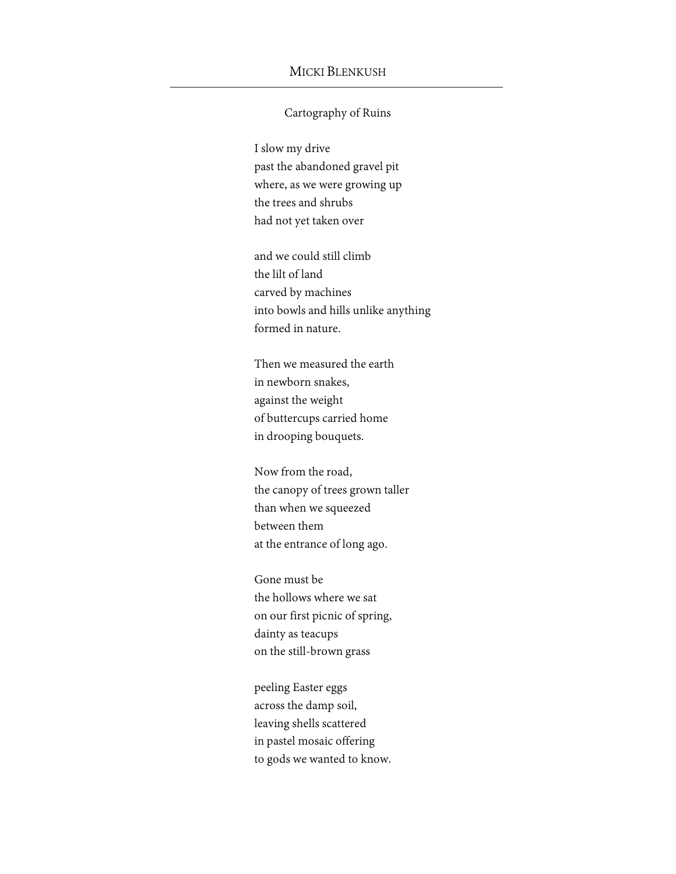## MICKI BLENKUSH

## Cartography of Ruins

I slow my drive past the abandoned gravel pit where, as we were growing up the trees and shrubs had not yet taken over

and we could still climb the lilt of land carved by machines into bowls and hills unlike anything formed in nature.

Then we measured the earth in newborn snakes, against the weight of buttercups carried home in drooping bouquets.

Now from the road, the canopy of trees grown taller than when we squeezed between them at the entrance of long ago.

Gone must be the hollows where we sat on our first picnic of spring, dainty as teacups on the still-brown grass

peeling Easter eggs across the damp soil, leaving shells scattered in pastel mosaic offering to gods we wanted to know.